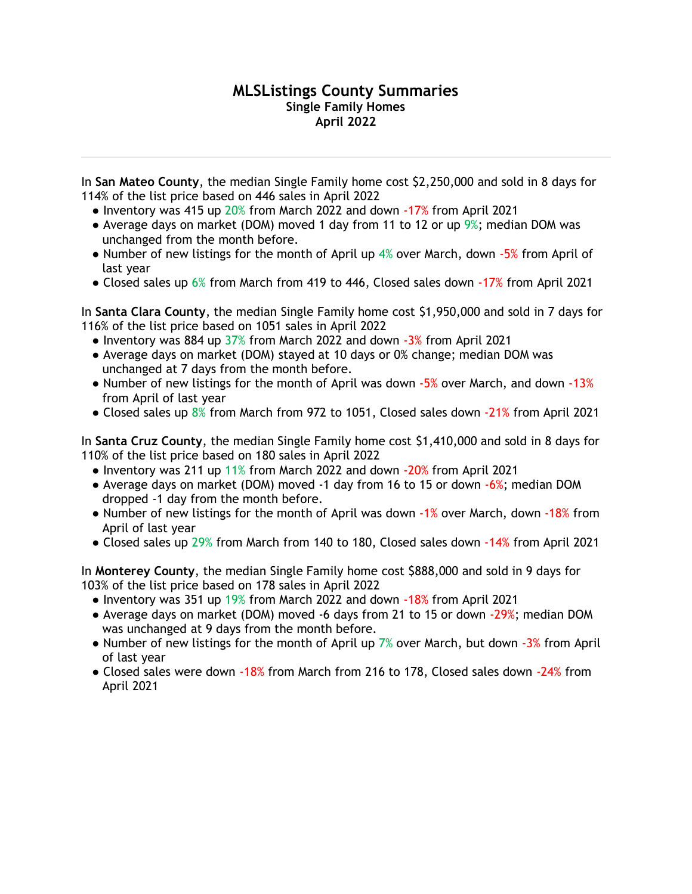## **MLSListings County Summaries Single Family Homes April 2022**

In **San Mateo County**, the median Single Family home cost \$2,250,000 and sold in 8 days for 114% of the list price based on 446 sales in April 2022

- Inventory was 415 up 20% from March 2022 and down -17% from April 2021
- Average days on market (DOM) moved 1 day from 11 to 12 or up 9%; median DOM was unchanged from the month before.
- Number of new listings for the month of April up 4% over March, down -5% from April of last year
- Closed sales up 6% from March from 419 to 446, Closed sales down -17% from April 2021

In **Santa Clara County**, the median Single Family home cost \$1,950,000 and sold in 7 days for 116% of the list price based on 1051 sales in April 2022

- Inventory was 884 up 37% from March 2022 and down -3% from April 2021
- Average days on market (DOM) stayed at 10 days or 0% change; median DOM was unchanged at 7 days from the month before.
- Number of new listings for the month of April was down -5% over March, and down -13% from April of last year
- Closed sales up 8% from March from 972 to 1051, Closed sales down -21% from April 2021

In **Santa Cruz County**, the median Single Family home cost \$1,410,000 and sold in 8 days for 110% of the list price based on 180 sales in April 2022

- Inventory was 211 up 11% from March 2022 and down -20% from April 2021
- Average days on market (DOM) moved -1 day from 16 to 15 or down -6%; median DOM dropped -1 day from the month before.
- Number of new listings for the month of April was down -1% over March, down -18% from April of last year
- Closed sales up 29% from March from 140 to 180, Closed sales down -14% from April 2021

In **Monterey County**, the median Single Family home cost \$888,000 and sold in 9 days for 103% of the list price based on 178 sales in April 2022

- Inventory was 351 up 19% from March 2022 and down -18% from April 2021
- Average days on market (DOM) moved -6 days from 21 to 15 or down -29%; median DOM was unchanged at 9 days from the month before.
- Number of new listings for the month of April up  $7%$  over March, but down  $-3%$  from April of last year
- Closed sales were down -18% from March from 216 to 178, Closed sales down -24% from April 2021